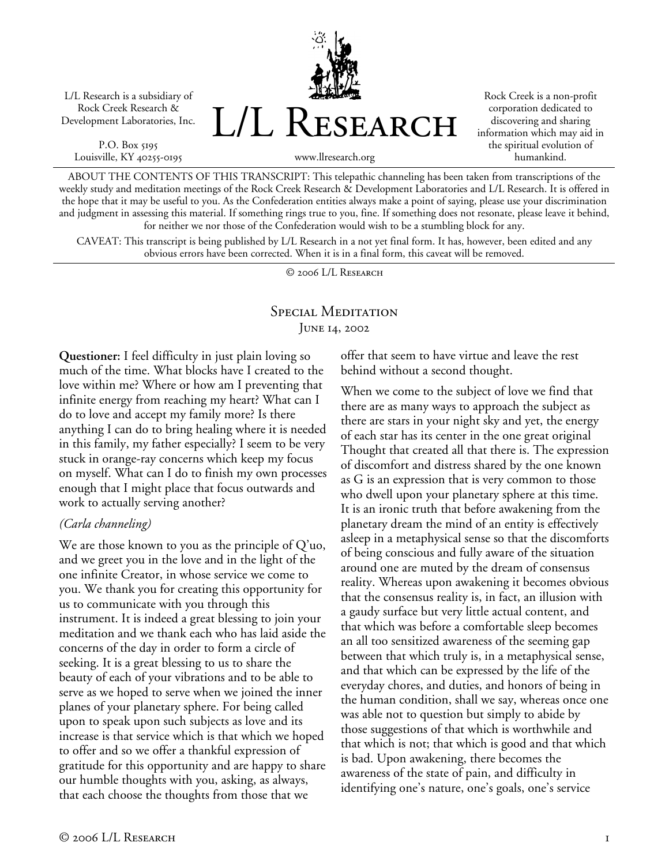L/L Research is a subsidiary of Rock Creek Research & Development Laboratories, Inc.

P.O. Box 5195 Louisville, KY 40255-0195



Rock Creek is a non-profit corporation dedicated to discovering and sharing information which may aid in the spiritual evolution of humankind.

www.llresearch.org

ABOUT THE CONTENTS OF THIS TRANSCRIPT: This telepathic channeling has been taken from transcriptions of the weekly study and meditation meetings of the Rock Creek Research & Development Laboratories and L/L Research. It is offered in the hope that it may be useful to you. As the Confederation entities always make a point of saying, please use your discrimination and judgment in assessing this material. If something rings true to you, fine. If something does not resonate, please leave it behind, for neither we nor those of the Confederation would wish to be a stumbling block for any.

CAVEAT: This transcript is being published by L/L Research in a not yet final form. It has, however, been edited and any obvious errors have been corrected. When it is in a final form, this caveat will be removed.

© 2006 L/L Research

# Special Meditation June 14, 2002

**Questioner:** I feel difficulty in just plain loving so much of the time. What blocks have I created to the love within me? Where or how am I preventing that infinite energy from reaching my heart? What can I do to love and accept my family more? Is there anything I can do to bring healing where it is needed in this family, my father especially? I seem to be very stuck in orange-ray concerns which keep my focus on myself. What can I do to finish my own processes enough that I might place that focus outwards and work to actually serving another?

## *(Carla channeling)*

We are those known to you as the principle of Q'uo, and we greet you in the love and in the light of the one infinite Creator, in whose service we come to you. We thank you for creating this opportunity for us to communicate with you through this instrument. It is indeed a great blessing to join your meditation and we thank each who has laid aside the concerns of the day in order to form a circle of seeking. It is a great blessing to us to share the beauty of each of your vibrations and to be able to serve as we hoped to serve when we joined the inner planes of your planetary sphere. For being called upon to speak upon such subjects as love and its increase is that service which is that which we hoped to offer and so we offer a thankful expression of gratitude for this opportunity and are happy to share our humble thoughts with you, asking, as always, that each choose the thoughts from those that we

offer that seem to have virtue and leave the rest behind without a second thought.

When we come to the subject of love we find that there are as many ways to approach the subject as there are stars in your night sky and yet, the energy of each star has its center in the one great original Thought that created all that there is. The expression of discomfort and distress shared by the one known as G is an expression that is very common to those who dwell upon your planetary sphere at this time. It is an ironic truth that before awakening from the planetary dream the mind of an entity is effectively asleep in a metaphysical sense so that the discomforts of being conscious and fully aware of the situation around one are muted by the dream of consensus reality. Whereas upon awakening it becomes obvious that the consensus reality is, in fact, an illusion with a gaudy surface but very little actual content, and that which was before a comfortable sleep becomes an all too sensitized awareness of the seeming gap between that which truly is, in a metaphysical sense, and that which can be expressed by the life of the everyday chores, and duties, and honors of being in the human condition, shall we say, whereas once one was able not to question but simply to abide by those suggestions of that which is worthwhile and that which is not; that which is good and that which is bad. Upon awakening, there becomes the awareness of the state of pain, and difficulty in identifying one's nature, one's goals, one's service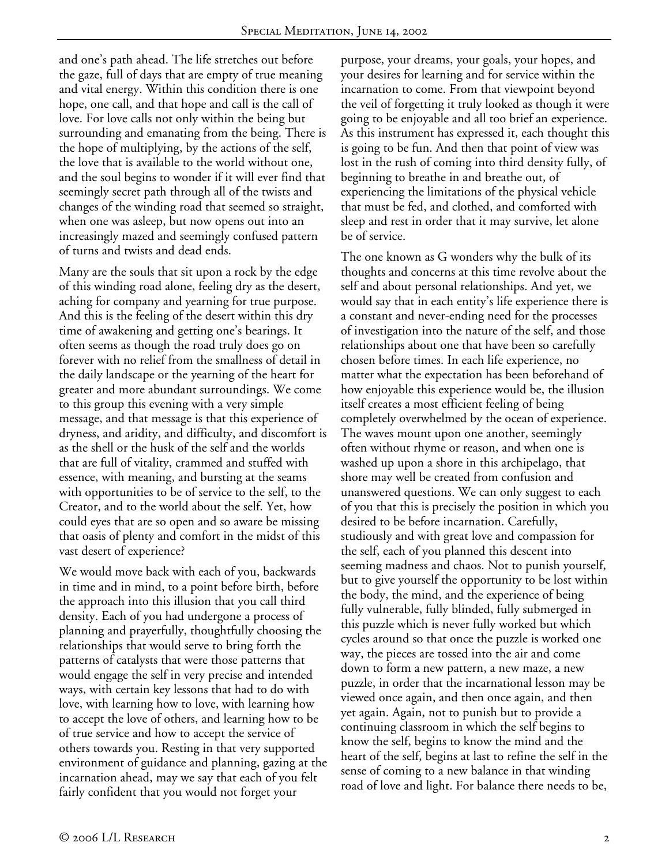and one's path ahead. The life stretches out before the gaze, full of days that are empty of true meaning and vital energy. Within this condition there is one hope, one call, and that hope and call is the call of love. For love calls not only within the being but surrounding and emanating from the being. There is the hope of multiplying, by the actions of the self, the love that is available to the world without one, and the soul begins to wonder if it will ever find that seemingly secret path through all of the twists and changes of the winding road that seemed so straight, when one was asleep, but now opens out into an increasingly mazed and seemingly confused pattern of turns and twists and dead ends.

Many are the souls that sit upon a rock by the edge of this winding road alone, feeling dry as the desert, aching for company and yearning for true purpose. And this is the feeling of the desert within this dry time of awakening and getting one's bearings. It often seems as though the road truly does go on forever with no relief from the smallness of detail in the daily landscape or the yearning of the heart for greater and more abundant surroundings. We come to this group this evening with a very simple message, and that message is that this experience of dryness, and aridity, and difficulty, and discomfort is as the shell or the husk of the self and the worlds that are full of vitality, crammed and stuffed with essence, with meaning, and bursting at the seams with opportunities to be of service to the self, to the Creator, and to the world about the self. Yet, how could eyes that are so open and so aware be missing that oasis of plenty and comfort in the midst of this vast desert of experience?

We would move back with each of you, backwards in time and in mind, to a point before birth, before the approach into this illusion that you call third density. Each of you had undergone a process of planning and prayerfully, thoughtfully choosing the relationships that would serve to bring forth the patterns of catalysts that were those patterns that would engage the self in very precise and intended ways, with certain key lessons that had to do with love, with learning how to love, with learning how to accept the love of others, and learning how to be of true service and how to accept the service of others towards you. Resting in that very supported environment of guidance and planning, gazing at the incarnation ahead, may we say that each of you felt fairly confident that you would not forget your

purpose, your dreams, your goals, your hopes, and your desires for learning and for service within the incarnation to come. From that viewpoint beyond the veil of forgetting it truly looked as though it were going to be enjoyable and all too brief an experience. As this instrument has expressed it, each thought this is going to be fun. And then that point of view was lost in the rush of coming into third density fully, of beginning to breathe in and breathe out, of experiencing the limitations of the physical vehicle that must be fed, and clothed, and comforted with sleep and rest in order that it may survive, let alone be of service.

The one known as G wonders why the bulk of its thoughts and concerns at this time revolve about the self and about personal relationships. And yet, we would say that in each entity's life experience there is a constant and never-ending need for the processes of investigation into the nature of the self, and those relationships about one that have been so carefully chosen before times. In each life experience, no matter what the expectation has been beforehand of how enjoyable this experience would be, the illusion itself creates a most efficient feeling of being completely overwhelmed by the ocean of experience. The waves mount upon one another, seemingly often without rhyme or reason, and when one is washed up upon a shore in this archipelago, that shore may well be created from confusion and unanswered questions. We can only suggest to each of you that this is precisely the position in which you desired to be before incarnation. Carefully, studiously and with great love and compassion for the self, each of you planned this descent into seeming madness and chaos. Not to punish yourself, but to give yourself the opportunity to be lost within the body, the mind, and the experience of being fully vulnerable, fully blinded, fully submerged in this puzzle which is never fully worked but which cycles around so that once the puzzle is worked one way, the pieces are tossed into the air and come down to form a new pattern, a new maze, a new puzzle, in order that the incarnational lesson may be viewed once again, and then once again, and then yet again. Again, not to punish but to provide a continuing classroom in which the self begins to know the self, begins to know the mind and the heart of the self, begins at last to refine the self in the sense of coming to a new balance in that winding road of love and light. For balance there needs to be,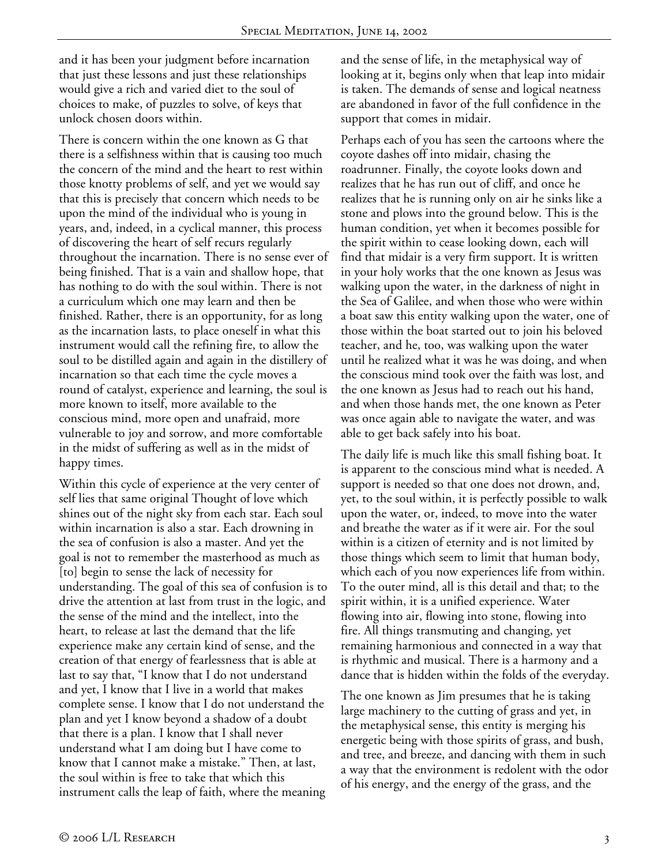and it has been your judgment before incarnation that just these lessons and just these relationships would give a rich and varied diet to the soul of choices to make, of puzzles to solve, of keys that unlock chosen doors within.

There is concern within the one known as G that there is a selfishness within that is causing too much the concern of the mind and the heart to rest within those knotty problems of self, and yet we would say that this is precisely that concern which needs to be upon the mind of the individual who is young in years, and, indeed, in a cyclical manner, this process of discovering the heart of self recurs regularly throughout the incarnation. There is no sense ever of being finished. That is a vain and shallow hope, that has nothing to do with the soul within. There is not a curriculum which one may learn and then be finished. Rather, there is an opportunity, for as long as the incarnation lasts, to place oneself in what this instrument would call the refining fire, to allow the soul to be distilled again and again in the distillery of incarnation so that each time the cycle moves a round of catalyst, experience and learning, the soul is more known to itself, more available to the conscious mind, more open and unafraid, more vulnerable to joy and sorrow, and more comfortable in the midst of suffering as well as in the midst of happy times.

Within this cycle of experience at the very center of self lies that same original Thought of love which shines out of the night sky from each star. Each soul within incarnation is also a star. Each drowning in the sea of confusion is also a master. And yet the goal is not to remember the masterhood as much as [to] begin to sense the lack of necessity for understanding. The goal of this sea of confusion is to drive the attention at last from trust in the logic, and the sense of the mind and the intellect, into the heart, to release at last the demand that the life experience make any certain kind of sense, and the creation of that energy of fearlessness that is able at last to say that, "I know that I do not understand and yet, I know that I live in a world that makes complete sense. I know that I do not understand the plan and yet I know beyond a shadow of a doubt that there is a plan. I know that I shall never understand what I am doing but I have come to know that I cannot make a mistake." Then, at last, the soul within is free to take that which this instrument calls the leap of faith, where the meaning

and the sense of life, in the metaphysical way of looking at it, begins only when that leap into midair is taken. The demands of sense and logical neatness are abandoned in favor of the full confidence in the support that comes in midair.

Perhaps each of you has seen the cartoons where the coyote dashes off into midair, chasing the roadrunner. Finally, the coyote looks down and realizes that he has run out of cliff, and once he realizes that he is running only on air he sinks like a stone and plows into the ground below. This is the human condition, yet when it becomes possible for the spirit within to cease looking down, each will find that midair is a very firm support. It is written in your holy works that the one known as Jesus was walking upon the water, in the darkness of night in the Sea of Galilee, and when those who were within a boat saw this entity walking upon the water, one of those within the boat started out to join his beloved teacher, and he, too, was walking upon the water until he realized what it was he was doing, and when the conscious mind took over the faith was lost, and the one known as Jesus had to reach out his hand, and when those hands met, the one known as Peter was once again able to navigate the water, and was able to get back safely into his boat.

The daily life is much like this small fishing boat. It is apparent to the conscious mind what is needed. A support is needed so that one does not drown, and, yet, to the soul within, it is perfectly possible to walk upon the water, or, indeed, to move into the water and breathe the water as if it were air. For the soul within is a citizen of eternity and is not limited by those things which seem to limit that human body, which each of you now experiences life from within. To the outer mind, all is this detail and that; to the spirit within, it is a unified experience. Water flowing into air, flowing into stone, flowing into fire. All things transmuting and changing, yet remaining harmonious and connected in a way that is rhythmic and musical. There is a harmony and a dance that is hidden within the folds of the everyday.

The one known as Jim presumes that he is taking large machinery to the cutting of grass and yet, in the metaphysical sense, this entity is merging his energetic being with those spirits of grass, and bush, and tree, and breeze, and dancing with them in such a way that the environment is redolent with the odor of his energy, and the energy of the grass, and the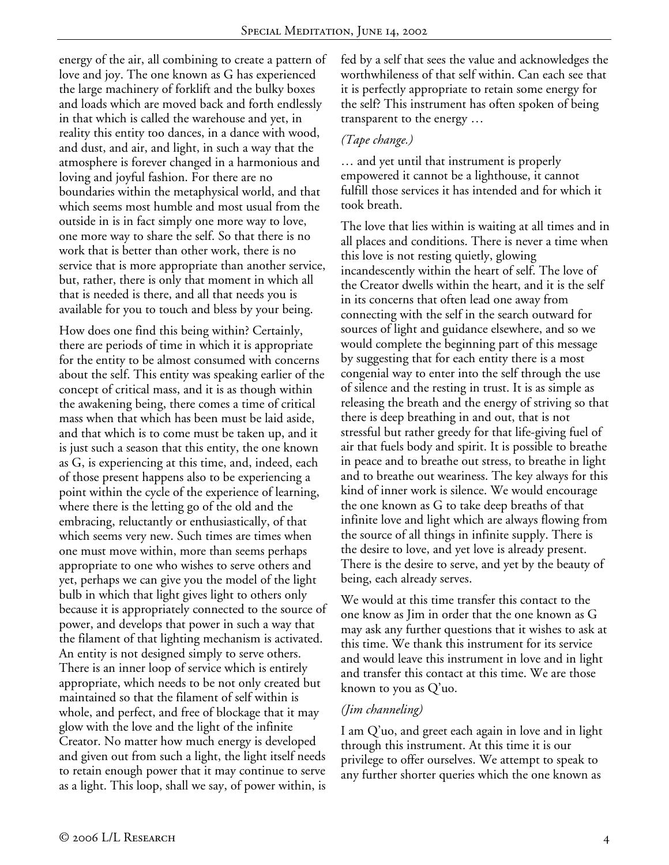energy of the air, all combining to create a pattern of love and joy. The one known as G has experienced the large machinery of forklift and the bulky boxes and loads which are moved back and forth endlessly in that which is called the warehouse and yet, in reality this entity too dances, in a dance with wood, and dust, and air, and light, in such a way that the atmosphere is forever changed in a harmonious and loving and joyful fashion. For there are no boundaries within the metaphysical world, and that which seems most humble and most usual from the outside in is in fact simply one more way to love, one more way to share the self. So that there is no work that is better than other work, there is no service that is more appropriate than another service, but, rather, there is only that moment in which all that is needed is there, and all that needs you is available for you to touch and bless by your being.

How does one find this being within? Certainly, there are periods of time in which it is appropriate for the entity to be almost consumed with concerns about the self. This entity was speaking earlier of the concept of critical mass, and it is as though within the awakening being, there comes a time of critical mass when that which has been must be laid aside, and that which is to come must be taken up, and it is just such a season that this entity, the one known as G, is experiencing at this time, and, indeed, each of those present happens also to be experiencing a point within the cycle of the experience of learning, where there is the letting go of the old and the embracing, reluctantly or enthusiastically, of that which seems very new. Such times are times when one must move within, more than seems perhaps appropriate to one who wishes to serve others and yet, perhaps we can give you the model of the light bulb in which that light gives light to others only because it is appropriately connected to the source of power, and develops that power in such a way that the filament of that lighting mechanism is activated. An entity is not designed simply to serve others. There is an inner loop of service which is entirely appropriate, which needs to be not only created but maintained so that the filament of self within is whole, and perfect, and free of blockage that it may glow with the love and the light of the infinite Creator. No matter how much energy is developed and given out from such a light, the light itself needs to retain enough power that it may continue to serve as a light. This loop, shall we say, of power within, is

fed by a self that sees the value and acknowledges the worthwhileness of that self within. Can each see that it is perfectly appropriate to retain some energy for the self? This instrument has often spoken of being transparent to the energy …

### *(Tape change.)*

… and yet until that instrument is properly empowered it cannot be a lighthouse, it cannot fulfill those services it has intended and for which it took breath.

The love that lies within is waiting at all times and in all places and conditions. There is never a time when this love is not resting quietly, glowing incandescently within the heart of self. The love of the Creator dwells within the heart, and it is the self in its concerns that often lead one away from connecting with the self in the search outward for sources of light and guidance elsewhere, and so we would complete the beginning part of this message by suggesting that for each entity there is a most congenial way to enter into the self through the use of silence and the resting in trust. It is as simple as releasing the breath and the energy of striving so that there is deep breathing in and out, that is not stressful but rather greedy for that life-giving fuel of air that fuels body and spirit. It is possible to breathe in peace and to breathe out stress, to breathe in light and to breathe out weariness. The key always for this kind of inner work is silence. We would encourage the one known as G to take deep breaths of that infinite love and light which are always flowing from the source of all things in infinite supply. There is the desire to love, and yet love is already present. There is the desire to serve, and yet by the beauty of being, each already serves.

We would at this time transfer this contact to the one know as Jim in order that the one known as G may ask any further questions that it wishes to ask at this time. We thank this instrument for its service and would leave this instrument in love and in light and transfer this contact at this time. We are those known to you as Q'uo.

## *(Jim channeling)*

I am Q'uo, and greet each again in love and in light through this instrument. At this time it is our privilege to offer ourselves. We attempt to speak to any further shorter queries which the one known as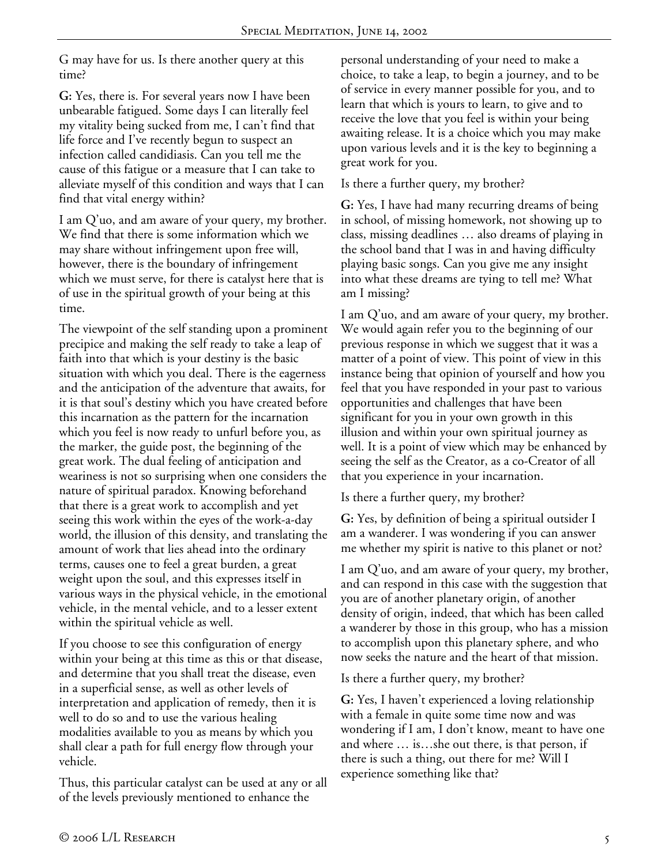G may have for us. Is there another query at this time?

**G:** Yes, there is. For several years now I have been unbearable fatigued. Some days I can literally feel my vitality being sucked from me, I can't find that life force and I've recently begun to suspect an infection called candidiasis. Can you tell me the cause of this fatigue or a measure that I can take to alleviate myself of this condition and ways that I can find that vital energy within?

I am Q'uo, and am aware of your query, my brother. We find that there is some information which we may share without infringement upon free will, however, there is the boundary of infringement which we must serve, for there is catalyst here that is of use in the spiritual growth of your being at this time.

The viewpoint of the self standing upon a prominent precipice and making the self ready to take a leap of faith into that which is your destiny is the basic situation with which you deal. There is the eagerness and the anticipation of the adventure that awaits, for it is that soul's destiny which you have created before this incarnation as the pattern for the incarnation which you feel is now ready to unfurl before you, as the marker, the guide post, the beginning of the great work. The dual feeling of anticipation and weariness is not so surprising when one considers the nature of spiritual paradox. Knowing beforehand that there is a great work to accomplish and yet seeing this work within the eyes of the work-a-day world, the illusion of this density, and translating the amount of work that lies ahead into the ordinary terms, causes one to feel a great burden, a great weight upon the soul, and this expresses itself in various ways in the physical vehicle, in the emotional vehicle, in the mental vehicle, and to a lesser extent within the spiritual vehicle as well.

If you choose to see this configuration of energy within your being at this time as this or that disease, and determine that you shall treat the disease, even in a superficial sense, as well as other levels of interpretation and application of remedy, then it is well to do so and to use the various healing modalities available to you as means by which you shall clear a path for full energy flow through your vehicle.

Thus, this particular catalyst can be used at any or all of the levels previously mentioned to enhance the

personal understanding of your need to make a choice, to take a leap, to begin a journey, and to be of service in every manner possible for you, and to learn that which is yours to learn, to give and to receive the love that you feel is within your being awaiting release. It is a choice which you may make upon various levels and it is the key to beginning a great work for you.

### Is there a further query, my brother?

**G:** Yes, I have had many recurring dreams of being in school, of missing homework, not showing up to class, missing deadlines … also dreams of playing in the school band that I was in and having difficulty playing basic songs. Can you give me any insight into what these dreams are tying to tell me? What am I missing?

I am Q'uo, and am aware of your query, my brother. We would again refer you to the beginning of our previous response in which we suggest that it was a matter of a point of view. This point of view in this instance being that opinion of yourself and how you feel that you have responded in your past to various opportunities and challenges that have been significant for you in your own growth in this illusion and within your own spiritual journey as well. It is a point of view which may be enhanced by seeing the self as the Creator, as a co-Creator of all that you experience in your incarnation.

Is there a further query, my brother?

**G:** Yes, by definition of being a spiritual outsider I am a wanderer. I was wondering if you can answer me whether my spirit is native to this planet or not?

I am Q'uo, and am aware of your query, my brother, and can respond in this case with the suggestion that you are of another planetary origin, of another density of origin, indeed, that which has been called a wanderer by those in this group, who has a mission to accomplish upon this planetary sphere, and who now seeks the nature and the heart of that mission.

Is there a further query, my brother?

**G:** Yes, I haven't experienced a loving relationship with a female in quite some time now and was wondering if I am, I don't know, meant to have one and where … is…she out there, is that person, if there is such a thing, out there for me? Will I experience something like that?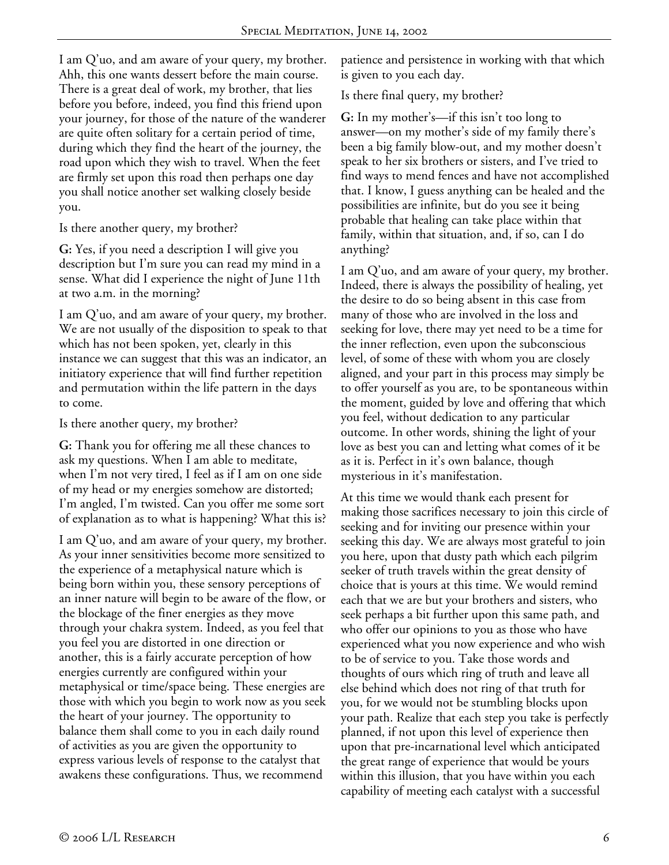I am Q'uo, and am aware of your query, my brother. Ahh, this one wants dessert before the main course. There is a great deal of work, my brother, that lies before you before, indeed, you find this friend upon your journey, for those of the nature of the wanderer are quite often solitary for a certain period of time, during which they find the heart of the journey, the road upon which they wish to travel. When the feet are firmly set upon this road then perhaps one day you shall notice another set walking closely beside you.

Is there another query, my brother?

**G:** Yes, if you need a description I will give you description but I'm sure you can read my mind in a sense. What did I experience the night of June 11th at two a.m. in the morning?

I am Q'uo, and am aware of your query, my brother. We are not usually of the disposition to speak to that which has not been spoken, yet, clearly in this instance we can suggest that this was an indicator, an initiatory experience that will find further repetition and permutation within the life pattern in the days to come.

Is there another query, my brother?

**G:** Thank you for offering me all these chances to ask my questions. When I am able to meditate, when I'm not very tired, I feel as if I am on one side of my head or my energies somehow are distorted; I'm angled, I'm twisted. Can you offer me some sort of explanation as to what is happening? What this is?

I am Q'uo, and am aware of your query, my brother. As your inner sensitivities become more sensitized to the experience of a metaphysical nature which is being born within you, these sensory perceptions of an inner nature will begin to be aware of the flow, or the blockage of the finer energies as they move through your chakra system. Indeed, as you feel that you feel you are distorted in one direction or another, this is a fairly accurate perception of how energies currently are configured within your metaphysical or time/space being. These energies are those with which you begin to work now as you seek the heart of your journey. The opportunity to balance them shall come to you in each daily round of activities as you are given the opportunity to express various levels of response to the catalyst that awakens these configurations. Thus, we recommend

patience and persistence in working with that which is given to you each day.

Is there final query, my brother?

**G:** In my mother's—if this isn't too long to answer—on my mother's side of my family there's been a big family blow-out, and my mother doesn't speak to her six brothers or sisters, and I've tried to find ways to mend fences and have not accomplished that. I know, I guess anything can be healed and the possibilities are infinite, but do you see it being probable that healing can take place within that family, within that situation, and, if so, can I do anything?

I am Q'uo, and am aware of your query, my brother. Indeed, there is always the possibility of healing, yet the desire to do so being absent in this case from many of those who are involved in the loss and seeking for love, there may yet need to be a time for the inner reflection, even upon the subconscious level, of some of these with whom you are closely aligned, and your part in this process may simply be to offer yourself as you are, to be spontaneous within the moment, guided by love and offering that which you feel, without dedication to any particular outcome. In other words, shining the light of your love as best you can and letting what comes of it be as it is. Perfect in it's own balance, though mysterious in it's manifestation.

At this time we would thank each present for making those sacrifices necessary to join this circle of seeking and for inviting our presence within your seeking this day. We are always most grateful to join you here, upon that dusty path which each pilgrim seeker of truth travels within the great density of choice that is yours at this time. We would remind each that we are but your brothers and sisters, who seek perhaps a bit further upon this same path, and who offer our opinions to you as those who have experienced what you now experience and who wish to be of service to you. Take those words and thoughts of ours which ring of truth and leave all else behind which does not ring of that truth for you, for we would not be stumbling blocks upon your path. Realize that each step you take is perfectly planned, if not upon this level of experience then upon that pre-incarnational level which anticipated the great range of experience that would be yours within this illusion, that you have within you each capability of meeting each catalyst with a successful